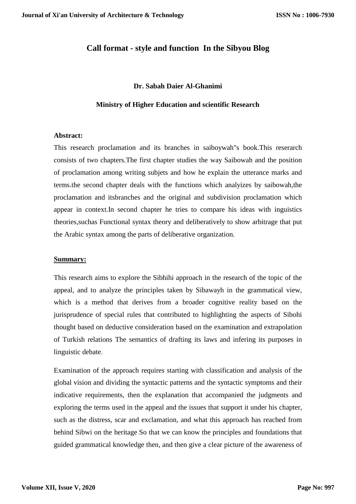# **Call format - style and function In the Sibyou Blog**

#### **Dr. Sabah Daier Al-Ghanimi**

#### **Ministry of Higher Education and scientific Research**

#### **Abstract:**

This research proclamation and its branches in saiboywah"s book.This reserarch consists of two chapters.The first chapter studies the way Saibowah and the position of proclamation among writing subjets and how he explain the utterance marks and terms.the second chapter deals with the functions which analyizes by saibowah,the proclamation and itsbranches and the original and subdivision proclamation which appear in context.In second chapter he tries to compare his ideas with inguistics theories,suchas Functional syntax theory and deliberatively to show arbitrage that put the Arabic syntax among the parts of deliberative organization.

#### **Summary:**

This research aims to explore the Sibhihi approach in the research of the topic of the appeal, and to analyze the principles taken by Sibawayh in the grammatical view, which is a method that derives from a broader cognitive reality based on the jurisprudence of special rules that contributed to highlighting the aspects of Sibohi thought based on deductive consideration based on the examination and extrapolation of Turkish relations The semantics of drafting its laws and infering its purposes in linguistic debate.

Examination of the approach requires starting with classification and analysis of the global vision and dividing the syntactic patterns and the syntactic symptoms and their indicative requirements, then the explanation that accompanied the judgments and exploring the terms used in the appeal and the issues that support it under his chapter, such as the distress, scar and exclamation, and what this approach has reached from behind Sibwi on the heritage So that we can know the principles and foundations that guided grammatical knowledge then, and then give a clear picture of the awareness of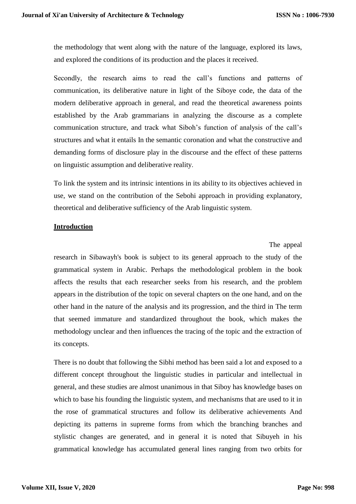the methodology that went along with the nature of the language, explored its laws, and explored the conditions of its production and the places it received.

Secondly, the research aims to read the call's functions and patterns of communication, its deliberative nature in light of the Siboye code, the data of the modern deliberative approach in general, and read the theoretical awareness points established by the Arab grammarians in analyzing the discourse as a complete communication structure, and track what Siboh's function of analysis of the call's structures and what it entails In the semantic coronation and what the constructive and demanding forms of disclosure play in the discourse and the effect of these patterns on linguistic assumption and deliberative reality.

To link the system and its intrinsic intentions in its ability to its objectives achieved in use, we stand on the contribution of the Sebohi approach in providing explanatory, theoretical and deliberative sufficiency of the Arab linguistic system.

#### **Introduction**

### The appeal

research in Sibawayh's book is subject to its general approach to the study of the grammatical system in Arabic. Perhaps the methodological problem in the book affects the results that each researcher seeks from his research, and the problem appears in the distribution of the topic on several chapters on the one hand, and on the other hand in the nature of the analysis and its progression, and the third in The term that seemed immature and standardized throughout the book, which makes the methodology unclear and then influences the tracing of the topic and the extraction of its concepts.

There is no doubt that following the Sibhi method has been said a lot and exposed to a different concept throughout the linguistic studies in particular and intellectual in general, and these studies are almost unanimous in that Siboy has knowledge bases on which to base his founding the linguistic system, and mechanisms that are used to it in the rose of grammatical structures and follow its deliberative achievements And depicting its patterns in supreme forms from which the branching branches and stylistic changes are generated, and in general it is noted that Sibuyeh in his grammatical knowledge has accumulated general lines ranging from two orbits for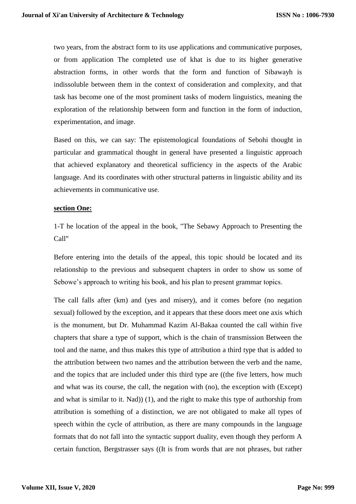two years, from the abstract form to its use applications and communicative purposes, or from application The completed use of khat is due to its higher generative abstraction forms, in other words that the form and function of Sibawayh is indissoluble between them in the context of consideration and complexity, and that task has become one of the most prominent tasks of modern linguistics, meaning the exploration of the relationship between form and function in the form of induction, experimentation, and image.

Based on this, we can say: The epistemological foundations of Sebohi thought in particular and grammatical thought in general have presented a linguistic approach that achieved explanatory and theoretical sufficiency in the aspects of the Arabic language. And its coordinates with other structural patterns in linguistic ability and its achievements in communicative use.

### **section One:**

1-T he location of the appeal in the book, "The Sebawy Approach to Presenting the Call"

Before entering into the details of the appeal, this topic should be located and its relationship to the previous and subsequent chapters in order to show us some of Sebowe's approach to writing his book, and his plan to present grammar topics.

The call falls after (km) and (yes and misery), and it comes before (no negation sexual) followed by the exception, and it appears that these doors meet one axis which is the monument, but Dr. Muhammad Kazim Al-Bakaa counted the call within five chapters that share a type of support, which is the chain of transmission Between the tool and the name, and thus makes this type of attribution a third type that is added to the attribution between two names and the attribution between the verb and the name, and the topics that are included under this third type are ((the five letters, how much and what was its course, the call, the negation with (no), the exception with (Except) and what is similar to it. Nad)) (1), and the right to make this type of authorship from attribution is something of a distinction, we are not obligated to make all types of speech within the cycle of attribution, as there are many compounds in the language formats that do not fall into the syntactic support duality, even though they perform A certain function, Bergstrasser says ((It is from words that are not phrases, but rather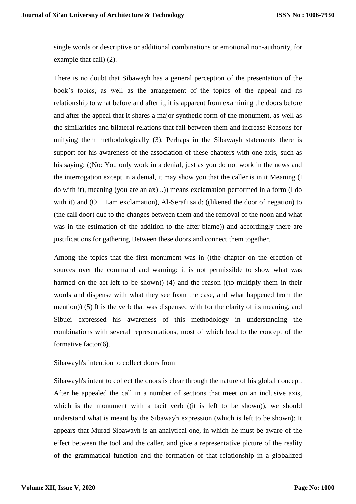single words or descriptive or additional combinations or emotional non-authority, for example that call $( 2).$ 

There is no doubt that Sibawayh has a general perception of the presentation of the book's topics, as well as the arrangement of the topics of the appeal and its relationship to what before and after it, it is apparent from examining the doors before and after the appeal that it shares a major synthetic form of the monument, as well as the similarities and bilateral relations that fall between them and increase Reasons for unifying them methodologically (3). Perhaps in the Sibawayh statements there is support for his awareness of the association of these chapters with one axis, such as his saying: ((No: You only work in a denial, just as you do not work in the news and the interrogation except in a denial, it may show you that the caller is in it Meaning (I do with it), meaning (you are an ax) ..)) means exclamation performed in a form (I do with it) and  $(O + Lam$  exclamation), Al-Serafi said: ((likened the door of negation) to (the call door) due to the changes between them and the removal of the noon and what was in the estimation of the addition to the after-blame)) and accordingly there are justifications for gathering Between these doors and connect them together.

Among the topics that the first monument was in ((the chapter on the erection of sources over the command and warning: it is not permissible to show what was harmed on the act left to be shown)) (4) and the reason ((to multiply them in their words and dispense with what they see from the case, and what happened from the mention)) (5) It is the verb that was dispensed with for the clarity of its meaning, and Sibuei expressed his awareness of this methodology in understanding the combinations with several representations, most of which lead to the concept of the formative factor $(6)$ .

#### Sibawayh's intention to collect doors from

Sibawayh's intent to collect the doors is clear through the nature of his global concept. After he appealed the call in a number of sections that meet on an inclusive axis, which is the monument with a tacit verb ((it is left to be shown)), we should understand what is meant by the Sibawayh expression (which is left to be shown): It appears that Murad Sibawayh is an analytical one, in which he must be aware of the effect between the tool and the caller, and give a representative picture of the reality of the grammatical function and the formation of that relationship in a globalized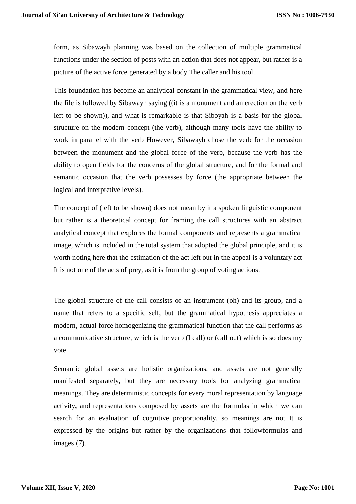form, as Sibawayh planning was based on the collection of multiple grammatical functions under the section of posts with an action that does not appear, but rather is a picture of the active force generated by a body The caller and his tool.

This foundation has become an analytical constant in the grammatical view, and here the file is followed by Sibawayh saying ((it is a monument and an erection on the verb left to be shown)), and what is remarkable is that Siboyah is a basis for the global structure on the modern concept (the verb), although many tools have the ability to work in parallel with the verb However, Sibawayh chose the verb for the occasion between the monument and the global force of the verb, because the verb has the ability to open fields for the concerns of the global structure, and for the formal and semantic occasion that the verb possesses by force (the appropriate between the logical and interpretive levels).

The concept of (left to be shown) does not mean by it a spoken linguistic component but rather is a theoretical concept for framing the call structures with an abstract analytical concept that explores the formal components and represents a grammatical image, which is included in the total system that adopted the global principle, and it is worth noting here that the estimation of the act left out in the appeal is a voluntary act It is not one of the acts of prey, as it is from the group of voting actions.

The global structure of the call consists of an instrument (oh) and its group, and a name that refers to a specific self, but the grammatical hypothesis appreciates a modern, actual force homogenizing the grammatical function that the call performs as a communicative structure, which is the verb (I call) or (call out) which is so does my vote.

Semantic global assets are holistic organizations, and assets are not generally manifested separately, but they are necessary tools for analyzing grammatical meanings. They are deterministic concepts for every moral representation by language activity, and representations composed by assets are the formulas in which we can search for an evaluation of cognitive proportionality, so meanings are not It is expressed by the origins but rather by the organizations that followformulas and images (7).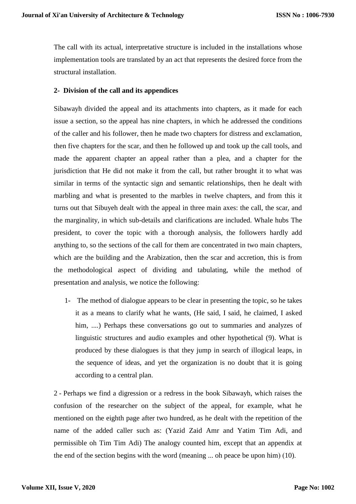The call with its actual, interpretative structure is included in the installations whose implementation tools are translated by an act that represents the desired force from the structural installation.

## **2- Division of the call and its appendices**

Sibawayh divided the appeal and its attachments into chapters, as it made for each issue a section, so the appeal has nine chapters, in which he addressed the conditions of the caller and his follower, then he made two chapters for distress and exclamation, then five chapters for the scar, and then he followed up and took up the call tools, and made the apparent chapter an appeal rather than a plea, and a chapter for the jurisdiction that He did not make it from the call, but rather brought it to what was similar in terms of the syntactic sign and semantic relationships, then he dealt with marbling and what is presented to the marbles in twelve chapters, and from this it turns out that Sibuyeh dealt with the appeal in three main axes: the call, the scar, and the marginality, in which sub-details and clarifications are included. Whale hubs The president, to cover the topic with a thorough analysis, the followers hardly add anything to, so the sections of the call for them are concentrated in two main chapters, which are the building and the Arabization, then the scar and accretion, this is from the methodological aspect of dividing and tabulating, while the method of presentation and analysis, we notice the following:

1- The method of dialogue appears to be clear in presenting the topic, so he takes it as a means to clarify what he wants, (He said, I said, he claimed, I asked him, ....) Perhaps these conversations go out to summaries and analyzes of linguistic structures and audio examples and other hypothetical (9). What is produced by these dialogues is that they jump in search of illogical leaps, in the sequence of ideas, and yet the organization is no doubt that it is going according to a central plan.

2 - Perhaps we find a digression or a redress in the book Sibawayh, which raises the confusion of the researcher on the subject of the appeal, for example, what he mentioned on the eighth page after two hundred, as he dealt with the repetition of the name of the added caller such as: (Yazid Zaid Amr and Yatim Tim Adi, and permissible oh Tim Tim Adi) The analogy counted him, except that an appendix at the end of the section begins with the word (meaning ... oh peace be upon him)  $(10)$ .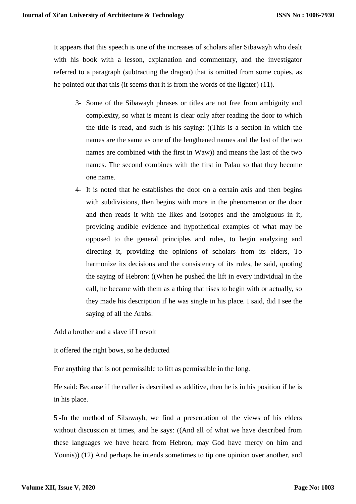It appears that this speech is one of the increases of scholars after Sibawayh who dealt with his book with a lesson, explanation and commentary, and the investigator referred to a paragraph (subtracting the dragon) that is omitted from some copies, as he pointed out that this (it seems that it is from the words of the lighter)  $(11)$ .

- 3- Some of the Sibawayh phrases or titles are not free from ambiguity and complexity, so what is meant is clear only after reading the door to which the title is read, and such is his saying: ((This is a section in which the names are the same as one of the lengthened names and the last of the two names are combined with the first in Waw)) and means the last of the two names. The second combines with the first in Palau so that they become one name.
- 4- It is noted that he establishes the door on a certain axis and then begins with subdivisions, then begins with more in the phenomenon or the door and then reads it with the likes and isotopes and the ambiguous in it, providing audible evidence and hypothetical examples of what may be opposed to the general principles and rules, to begin analyzing and directing it, providing the opinions of scholars from its elders, To harmonize its decisions and the consistency of its rules, he said, quoting the saying of Hebron: ((When he pushed the lift in every individual in the call, he became with them as a thing that rises to begin with or actually, so they made his description if he was single in his place. I said, did I see the saying of all the Arabs:

Add a brother and a slave if I revolt

It offered the right bows, so he deducted

For anything that is not permissible to lift as permissible in the long.

He said: Because if the caller is described as additive, then he is in his position if he is in his place.

5 -In the method of Sibawayh, we find a presentation of the views of his elders without discussion at times, and he says: ((And all of what we have described from these languages we have heard from Hebron, may God have mercy on him and Younis)) (12) And perhaps he intends sometimes to tip one opinion over another, and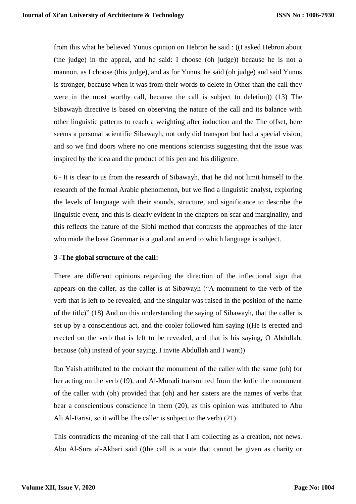from this what he believed Yunus opinion on Hebron he said : ((I asked Hebron about (the judge) in the appeal, and he said: I choose (oh judge)) because he is not a mannon, as I choose (this judge), and as for Yunus, he said (oh judge) and said Yunus is stronger, because when it was from their words to delete in Other than the call they were in the most worthy call, because the call is subject to deletion)) (13) The Sibawayh directive is based on observing the nature of the call and its balance with other linguistic patterns to reach a weighting after induction and the The offset, here seems a personal scientific Sibawayh, not only did transport but had a special vision, and so we find doors where no one mentions scientists suggesting that the issue was inspired by the idea and the product of his pen and his diligence.

6 - It is clear to us from the research of Sibawayh, that he did not limit himself to the research of the formal Arabic phenomenon, but we find a linguistic analyst, exploring the levels of language with their sounds, structure, and significance to describe the linguistic event, and this is clearly evident in the chapters on scar and marginality, and this reflects the nature of the Sibhi method that contrasts the approaches of the later who made the base Grammar is a goal and an end to which language is subject.

### **3 -The global structure of the call:**

There are different opinions regarding the direction of the inflectional sign that appears on the caller, as the caller is at Sibawayh ("A monument to the verb of the verb that is left to be revealed, and the singular was raised in the position of the name of the title)" (18) And on this understanding the saying of Sibawayh, that the caller is set up by a conscientious act, and the cooler followed him saying ((He is erected and erected on the verb that is left to be revealed, and that is his saying, O Abdullah, because (oh) instead of your saying, I invite Abdullah and I want))

Ibn Yaish attributed to the coolant the monument of the caller with the same (oh) for her acting on the verb (19), and Al-Muradi transmitted from the kufic the monument of the caller with (oh) provided that (oh) and her sisters are the names of verbs that bear a conscientious conscience in them (20), as this opinion was attributed to Abu Ali Al-Farisi, so it will be The caller is subject to the verb)  $(21)$ .

This contradicts the meaning of the call that I am collecting as a creation, not news. Abu Al-Sura al-Akbari said ((the call is a vote that cannot be given as charity or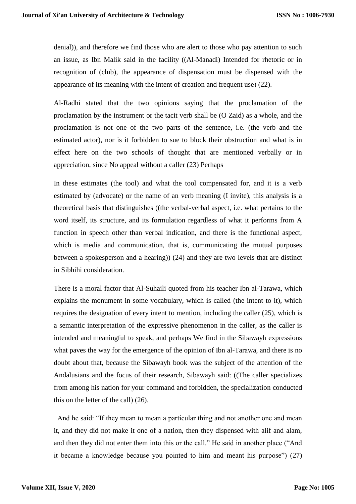denial)), and therefore we find those who are alert to those who pay attention to such an issue, as Ibn Malik said in the facility ((Al-Manadi) Intended for rhetoric or in recognition of (club), the appearance of dispensation must be dispensed with the appearance of its meaning with the intent of creation and frequent use $(22)$ .

Al-Radhi stated that the two opinions saying that the proclamation of the proclamation by the instrument or the tacit verb shall be (O Zaid) as a whole, and the proclamation is not one of the two parts of the sentence, i.e. (the verb and the estimated actor), nor is it forbidden to sue to block their obstruction and what is in effect here on the two schools of thought that are mentioned verbally or in appreciation, since No appeal without a caller (23) Perhaps

In these estimates (the tool) and what the tool compensated for, and it is a verb estimated by (advocate) or the name of an verb meaning (I invite), this analysis is a theoretical basis that distinguishes ((the verbal-verbal aspect, i.e. what pertains to the word itself, its structure, and its formulation regardless of what it performs from A function in speech other than verbal indication, and there is the functional aspect, which is media and communication, that is, communicating the mutual purposes between a spokesperson and a hearing)) (24) and they are two levels that are distinct in Sibhihi consideration.

There is a moral factor that Al-Suhaili quoted from his teacher Ibn al-Tarawa, which explains the monument in some vocabulary, which is called (the intent to it), which requires the designation of every intent to mention, including the caller (25), which is a semantic interpretation of the expressive phenomenon in the caller, as the caller is intended and meaningful to speak, and perhaps We find in the Sibawayh expressions what paves the way for the emergence of the opinion of Ibn al-Tarawa, and there is no doubt about that, because the Sibawayh book was the subject of the attention of the Andalusians and the focus of their research, Sibawayh said: ((The caller specializes from among his nation for your command and forbidden, the specialization conducted this on the letter of the call $(26)$ .

And he said: "If they mean to mean a particular thing and not another one and mean it, and they did not make it one of a nation, then they dispensed with alif and alam, and then they did not enter them into this or the call." He said in another place ("And it became a knowledge because you pointed to him and meant his purpose") (27)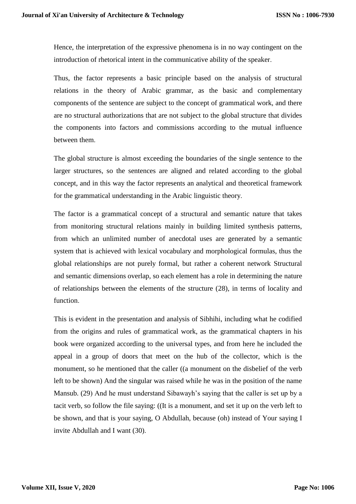Hence, the interpretation of the expressive phenomena is in no way contingent on the introduction of rhetorical intent in the communicative ability of the speaker.

Thus, the factor represents a basic principle based on the analysis of structural relations in the theory of Arabic grammar, as the basic and complementary components of the sentence are subject to the concept of grammatical work, and there are no structural authorizations that are not subject to the global structure that divides the components into factors and commissions according to the mutual influence between them.

The global structure is almost exceeding the boundaries of the single sentence to the larger structures, so the sentences are aligned and related according to the global concept, and in this way the factor represents an analytical and theoretical framework for the grammatical understanding in the Arabic linguistic theory.

The factor is a grammatical concept of a structural and semantic nature that takes from monitoring structural relations mainly in building limited synthesis patterns, from which an unlimited number of anecdotal uses are generated by a semantic system that is achieved with lexical vocabulary and morphological formulas, thus the global relationships are not purely formal, but rather a coherent network Structural and semantic dimensions overlap, so each element has a role in determining the nature of relationships between the elements of the structure (28), in terms of locality and function.

This is evident in the presentation and analysis of Sibhihi, including what he codified from the origins and rules of grammatical work, as the grammatical chapters in his book were organized according to the universal types, and from here he included the appeal in a group of doors that meet on the hub of the collector, which is the monument, so he mentioned that the caller ((a monument on the disbelief of the verb left to be shown) And the singular was raised while he was in the position of the name Mansub. (29) And he must understand Sibawayh's saying that the caller is set up by a tacit verb, so follow the file saying: ((It is a monument, and set it up on the verb left to be shown, and that is your saying, O Abdullah, because (oh) instead of Your saying I invite Abdullah and I want (30).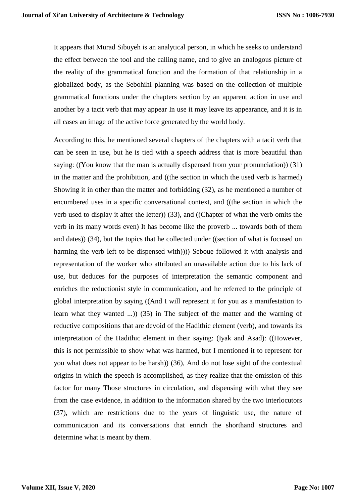It appears that Murad Sibuyeh is an analytical person, in which he seeks to understand the effect between the tool and the calling name, and to give an analogous picture of the reality of the grammatical function and the formation of that relationship in a globalized body, as the Sebohihi planning was based on the collection of multiple grammatical functions under the chapters section by an apparent action in use and another by a tacit verb that may appear In use it may leave its appearance, and it is in all cases an image of the active force generated by the world body.

According to this, he mentioned several chapters of the chapters with a tacit verb that can be seen in use, but he is tied with a speech address that is more beautiful than saying: ((You know that the man is actually dispensed from your pronunciation))  $(31)$ in the matter and the prohibition, and ((the section in which the used verb is harmed) Showing it in other than the matter and forbidding (32), as he mentioned a number of encumbered uses in a specific conversational context, and ((the section in which the verb used to display it after the letter)) (33), and ((Chapter of what the verb omits the verb in its many words even) It has become like the proverb ... towards both of them and dates)) (34), but the topics that he collected under ((section of what is focused on harming the verb left to be dispensed with)))) Seboue followed it with analysis and representation of the worker who attributed an unavailable action due to his lack of use, but deduces for the purposes of interpretation the semantic component and enriches the reductionist style in communication, and he referred to the principle of global interpretation by saying ((And I will represent it for you as a manifestation to learn what they wanted ...)) (35) in The subject of the matter and the warning of reductive compositions that are devoid of the Hadithic element (verb), and towards its interpretation of the Hadithic element in their saying: (Iyak and Asad): ((However, this is not permissible to show what was harmed, but I mentioned it to represent for you what does not appear to be harsh)) (36), And do not lose sight of the contextual origins in which the speech is accomplished, as they realize that the omission of this factor for many Those structures in circulation, and dispensing with what they see from the case evidence, in addition to the information shared by the two interlocutors (37), which are restrictions due to the years of linguistic use, the nature of communication and its conversations that enrich the shorthand structures and determine what is meant by them.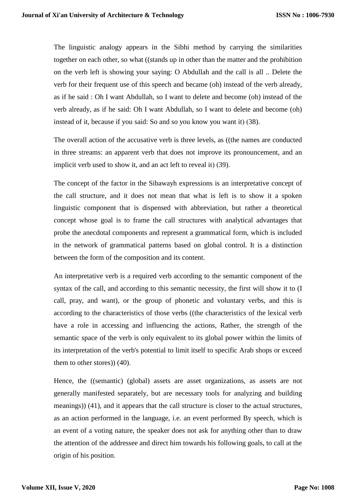The linguistic analogy appears in the Sibhi method by carrying the similarities together on each other, so what ((stands up in other than the matter and the prohibition on the verb left is showing your saying: O Abdullah and the call is all .. Delete the verb for their frequent use of this speech and became (oh) instead of the verb already, as if he said : Oh I want Abdullah, so I want to delete and become (oh) instead of the verb already, as if he said: Oh I want Abdullah, so I want to delete and become (oh) instead of it, because if you said: So and so you know you want it) (38).

The overall action of the accusative verb is three levels, as ((the names are conducted in three streams: an apparent verb that does not improve its pronouncement, and an implicit verb used to show it, and an act left to reveal it $(39)$ .

The concept of the factor in the Sibawayh expressions is an interpretative concept of the call structure, and it does not mean that what is left is to show it a spoken linguistic component that is dispensed with abbreviation, but rather a theoretical concept whose goal is to frame the call structures with analytical advantages that probe the anecdotal components and represent a grammatical form, which is included in the network of grammatical patterns based on global control. It is a distinction between the form of the composition and its content.

An interpretative verb is a required verb according to the semantic component of the syntax of the call, and according to this semantic necessity, the first will show it to (I call, pray, and want), or the group of phonetic and voluntary verbs, and this is according to the characteristics of those verbs ((the characteristics of the lexical verb have a role in accessing and influencing the actions, Rather, the strength of the semantic space of the verb is only equivalent to its global power within the limits of its interpretation of the verb's potential to limit itself to specific Arab shops or exceed them to other stores)) (40).

Hence, the ((semantic) (global) assets are asset organizations, as assets are not generally manifested separately, but are necessary tools for analyzing and building meanings)) (41), and it appears that the call structure is closer to the actual structures, as an action performed in the language, i.e. an event performed By speech, which is an event of a voting nature, the speaker does not ask for anything other than to draw the attention of the addressee and direct him towards his following goals, to call at the origin of his position.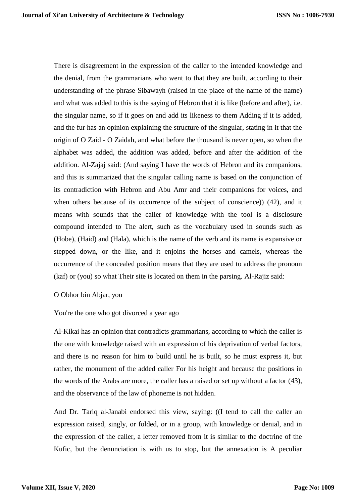There is disagreement in the expression of the caller to the intended knowledge and the denial, from the grammarians who went to that they are built, according to their understanding of the phrase Sibawayh (raised in the place of the name of the name) and what was added to this is the saying of Hebron that it is like (before and after), i.e. the singular name, so if it goes on and add its likeness to them Adding if it is added, and the fur has an opinion explaining the structure of the singular, stating in it that the origin of O Zaid - O Zaidah, and what before the thousand is never open, so when the alphabet was added, the addition was added, before and after the addition of the addition. Al-Zajaj said: (And saying I have the words of Hebron and its companions, and this is summarized that the singular calling name is based on the conjunction of its contradiction with Hebron and Abu Amr and their companions for voices, and when others because of its occurrence of the subject of conscience) (42), and it means with sounds that the caller of knowledge with the tool is a disclosure compound intended to The alert, such as the vocabulary used in sounds such as (Hobe), (Haid) and (Hala), which is the name of the verb and its name is expansive or stepped down, or the like, and it enjoins the horses and camels, whereas the occurrence of the concealed position means that they are used to address the pronoun (kaf) or (you) so what Their site is located on them in the parsing. Al-Rajiz said:

### O Obhor bin Abjar, you

You're the one who got divorced a year ago

Al-Kikai has an opinion that contradicts grammarians, according to which the caller is the one with knowledge raised with an expression of his deprivation of verbal factors, and there is no reason for him to build until he is built, so he must express it, but rather, the monument of the added caller For his height and because the positions in the words of the Arabs are more, the caller has a raised or set up without a factor (43), and the observance of the law of phoneme is not hidden.

And Dr. Tariq al-Janabi endorsed this view, saying: ((I tend to call the caller an expression raised, singly, or folded, or in a group, with knowledge or denial, and in the expression of the caller, a letter removed from it is similar to the doctrine of the Kufic, but the denunciation is with us to stop, but the annexation is A peculiar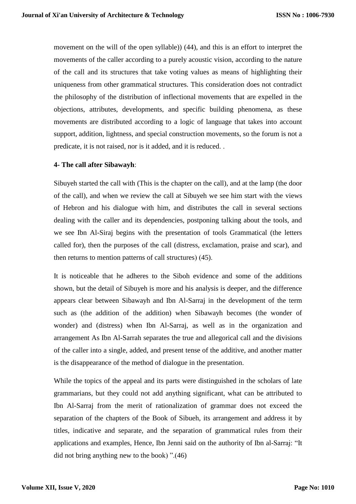movement on the will of the open syllable)) (44), and this is an effort to interpret the movements of the caller according to a purely acoustic vision, according to the nature of the call and its structures that take voting values as means of highlighting their uniqueness from other grammatical structures. This consideration does not contradict the philosophy of the distribution of inflectional movements that are expelled in the objections, attributes, developments, and specific building phenomena, as these movements are distributed according to a logic of language that takes into account support, addition, lightness, and special construction movements, so the forum is not a predicate, it is not raised, nor is it added, and it is reduced. .

#### **4- The call after Sibawayh**:

Sibuyeh started the call with (This is the chapter on the call), and at the lamp (the door of the call), and when we review the call at Sibuyeh we see him start with the views of Hebron and his dialogue with him, and distributes the call in several sections dealing with the caller and its dependencies, postponing talking about the tools, and we see Ibn Al-Siraj begins with the presentation of tools Grammatical (the letters called for), then the purposes of the call (distress, exclamation, praise and scar), and then returns to mention patterns of call structures)  $(45)$ .

It is noticeable that he adheres to the Siboh evidence and some of the additions shown, but the detail of Sibuyeh is more and his analysis is deeper, and the difference appears clear between Sibawayh and Ibn Al-Sarraj in the development of the term such as (the addition of the addition) when Sibawayh becomes (the wonder of wonder) and (distress) when Ibn Al-Sarraj, as well as in the organization and arrangement As Ibn Al-Sarrah separates the true and allegorical call and the divisions of the caller into a single, added, and present tense of the additive, and another matter is the disappearance of the method of dialogue in the presentation.

While the topics of the appeal and its parts were distinguished in the scholars of late grammarians, but they could not add anything significant, what can be attributed to Ibn Al-Sarraj from the merit of rationalization of grammar does not exceed the separation of the chapters of the Book of Sibueh, its arrangement and address it by titles, indicative and separate, and the separation of grammatical rules from their applications and examples, Hence, Ibn Jenni said on the authority of Ibn al-Sarraj: "It did not bring anything new to the book)  $"(46)$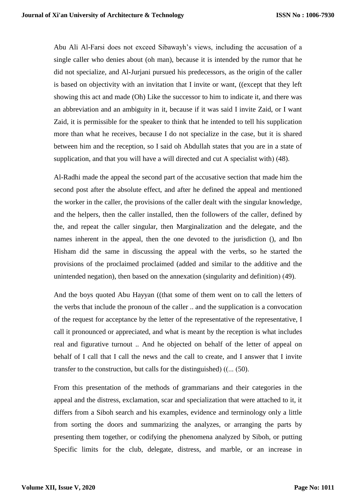Abu Ali Al-Farsi does not exceed Sibawayh's views, including the accusation of a single caller who denies about (oh man), because it is intended by the rumor that he did not specialize, and Al-Jurjani pursued his predecessors, as the origin of the caller is based on objectivity with an invitation that I invite or want, ((except that they left showing this act and made (Oh) Like the successor to him to indicate it, and there was an abbreviation and an ambiguity in it, because if it was said I invite Zaid, or I want Zaid, it is permissible for the speaker to think that he intended to tell his supplication more than what he receives, because I do not specialize in the case, but it is shared between him and the reception, so I said oh Abdullah states that you are in a state of supplication, and that you will have a will directed and cut A specialist with $(48)$ .

Al-Radhi made the appeal the second part of the accusative section that made him the second post after the absolute effect, and after he defined the appeal and mentioned the worker in the caller, the provisions of the caller dealt with the singular knowledge, and the helpers, then the caller installed, then the followers of the caller, defined by the, and repeat the caller singular, then Marginalization and the delegate, and the names inherent in the appeal, then the one devoted to the jurisdiction (), and Ibn Hisham did the same in discussing the appeal with the verbs, so he started the provisions of the proclaimed proclaimed (added and similar to the additive and the unintended negation), then based on the annexation (singularity and definition)  $(49)$ .

And the boys quoted Abu Hayyan ((that some of them went on to call the letters of the verbs that include the pronoun of the caller .. and the supplication is a convocation of the request for acceptance by the letter of the representative of the representative, I call it pronounced or appreciated, and what is meant by the reception is what includes real and figurative turnout .. And he objected on behalf of the letter of appeal on behalf of I call that I call the news and the call to create, and I answer that I invite transfer to the construction, but calls for the distinguished)  $((... (50))$ .

From this presentation of the methods of grammarians and their categories in the appeal and the distress, exclamation, scar and specialization that were attached to it, it differs from a Siboh search and his examples, evidence and terminology only a little from sorting the doors and summarizing the analyzes, or arranging the parts by presenting them together, or codifying the phenomena analyzed by Siboh, or putting Specific limits for the club, delegate, distress, and marble, or an increase in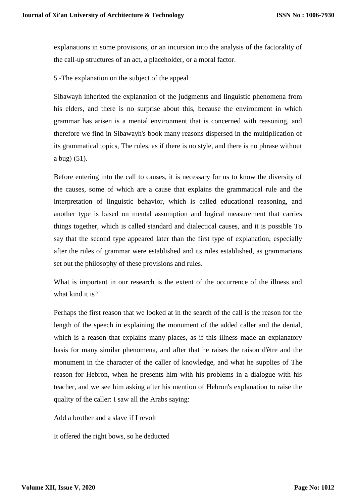explanations in some provisions, or an incursion into the analysis of the factorality of the call-up structures of an act, a placeholder, or a moral factor.

### 5 -The explanation on the subject of the appeal

Sibawayh inherited the explanation of the judgments and linguistic phenomena from his elders, and there is no surprise about this, because the environment in which grammar has arisen is a mental environment that is concerned with reasoning, and therefore we find in Sibawayh's book many reasons dispersed in the multiplication of its grammatical topics, The rules, as if there is no style, and there is no phrase without a bug $(51)$ .

Before entering into the call to causes, it is necessary for us to know the diversity of the causes, some of which are a cause that explains the grammatical rule and the interpretation of linguistic behavior, which is called educational reasoning, and another type is based on mental assumption and logical measurement that carries things together, which is called standard and dialectical causes, and it is possible To say that the second type appeared later than the first type of explanation, especially after the rules of grammar were established and its rules established, as grammarians set out the philosophy of these provisions and rules.

What is important in our research is the extent of the occurrence of the illness and what kind it is?

Perhaps the first reason that we looked at in the search of the call is the reason for the length of the speech in explaining the monument of the added caller and the denial, which is a reason that explains many places, as if this illness made an explanatory basis for many similar phenomena, and after that he raises the raison d'être and the monument in the character of the caller of knowledge, and what he supplies of The reason for Hebron, when he presents him with his problems in a dialogue with his teacher, and we see him asking after his mention of Hebron's explanation to raise the quality of the caller: I saw all the Arabs saying:

Add a brother and a slave if I revolt

It offered the right bows, so he deducted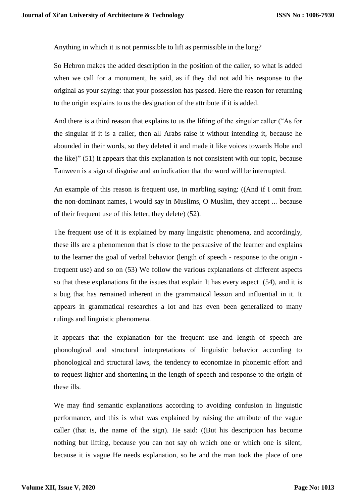Anything in which it is not permissible to lift as permissible in the long?

So Hebron makes the added description in the position of the caller, so what is added when we call for a monument, he said, as if they did not add his response to the original as your saying: that your possession has passed. Here the reason for returning to the origin explains to us the designation of the attribute if it is added.

And there is a third reason that explains to us the lifting of the singular caller ("As for the singular if it is a caller, then all Arabs raise it without intending it, because he abounded in their words, so they deleted it and made it like voices towards Hobe and the like)" (51) It appears that this explanation is not consistent with our topic, because Tanween is a sign of disguise and an indication that the word will be interrupted.

An example of this reason is frequent use, in marbling saying: ((And if I omit from the non-dominant names, I would say in Muslims, O Muslim, they accept ... because of their frequent use of this letter, they delete)  $(52)$ .

The frequent use of it is explained by many linguistic phenomena, and accordingly, these ills are a phenomenon that is close to the persuasive of the learner and explains to the learner the goal of verbal behavior (length of speech - response to the origin frequent use) and so on (53) We follow the various explanations of different aspects so that these explanations fit the issues that explain It has every aspect (54), and it is a bug that has remained inherent in the grammatical lesson and influential in it. It appears in grammatical researches a lot and has even been generalized to many rulings and linguistic phenomena.

It appears that the explanation for the frequent use and length of speech are phonological and structural interpretations of linguistic behavior according to phonological and structural laws, the tendency to economize in phonemic effort and to request lighter and shortening in the length of speech and response to the origin of these ills.

We may find semantic explanations according to avoiding confusion in linguistic performance, and this is what was explained by raising the attribute of the vague caller (that is, the name of the sign). He said: ((But his description has become nothing but lifting, because you can not say oh which one or which one is silent, because it is vague He needs explanation, so he and the man took the place of one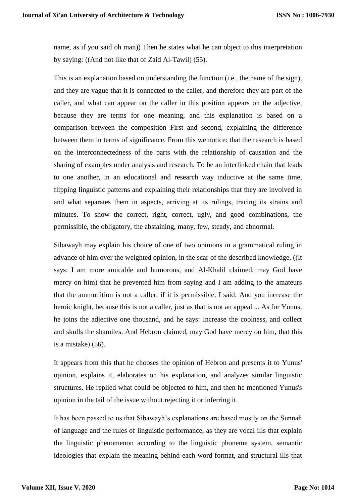name, as if you said oh man)) Then he states what he can object to this interpretation by saying:  $((And not like that of Zaid Al-Tawil) (55).$ 

This is an explanation based on understanding the function (i.e., the name of the sign), and they are vague that it is connected to the caller, and therefore they are part of the caller, and what can appear on the caller in this position appears on the adjective, because they are terms for one meaning, and this explanation is based on a comparison between the composition First and second, explaining the difference between them in terms of significance. From this we notice: that the research is based on the interconnectedness of the parts with the relationship of causation and the sharing of examples under analysis and research. To be an interlinked chain that leads to one another, in an educational and research way inductive at the same time, flipping linguistic patterns and explaining their relationships that they are involved in and what separates them in aspects, arriving at its rulings, tracing its strains and minutes. To show the correct, right, correct, ugly, and good combinations, the permissible, the obligatory, the abstaining, many, few, steady, and abnormal.

Sibawayh may explain his choice of one of two opinions in a grammatical ruling in advance of him over the weighted opinion, in the scar of the described knowledge, ((It says: I am more amicable and humorous, and Al-Khalil claimed, may God have mercy on him) that he prevented him from saying and I am adding to the amateurs that the ammunition is not a caller, if it is permissible, I said: And you increase the heroic knight, because this is not a caller, just as that is not an appeal ... As for Yunus, he joins the adjective one thousand, and he says: Increase the coolness, and collect and skulls the shamites. And Hebron claimed, may God have mercy on him, that this is a mistake $(56)$ .

It appears from this that he chooses the opinion of Hebron and presents it to Yunus' opinion, explains it, elaborates on his explanation, and analyzes similar linguistic structures. He replied what could be objected to him, and then he mentioned Yunus's opinion in the tail of the issue without rejecting it or inferring it.

It has been passed to us that Sibawayh's explanations are based mostly on the Sunnah of language and the rules of linguistic performance, as they are vocal ills that explain the linguistic phenomenon according to the linguistic phoneme system, semantic ideologies that explain the meaning behind each word format, and structural ills that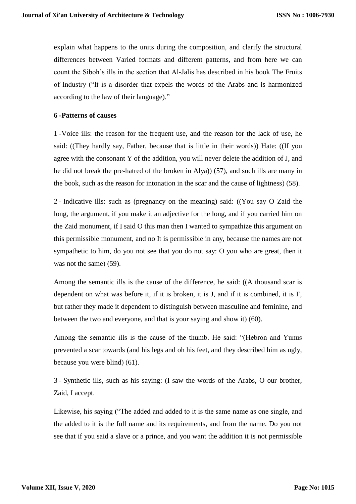explain what happens to the units during the composition, and clarify the structural differences between Varied formats and different patterns, and from here we can count the Siboh's ills in the section that Al-Jalis has described in his book The Fruits of Industry ("It is a disorder that expels the words of the Arabs and is harmonized according to the law of their language)."

#### **6 -Patterns of causes**

1 -Voice ills: the reason for the frequent use, and the reason for the lack of use, he said: ((They hardly say, Father, because that is little in their words)) Hate: ((If you agree with the consonant Y of the addition, you will never delete the addition of J, and he did not break the pre-hatred of the broken in Alya)) (57), and such ills are many in the book, such as the reason for intonation in the scar and the cause of lightness)  $(58)$ .

2 - Indicative ills: such as (pregnancy on the meaning) said: ((You say O Zaid the long, the argument, if you make it an adjective for the long, and if you carried him on the Zaid monument, if I said O this man then I wanted to sympathize this argument on this permissible monument, and no It is permissible in any, because the names are not sympathetic to him, do you not see that you do not say: O you who are great, then it was not the same)  $(59)$ .

Among the semantic ills is the cause of the difference, he said: ((A thousand scar is dependent on what was before it, if it is broken, it is J, and if it is combined, it is F, but rather they made it dependent to distinguish between masculine and feminine, and between the two and everyone, and that is your saying and show it)  $(60)$ .

Among the semantic ills is the cause of the thumb. He said: "(Hebron and Yunus prevented a scar towards (and his legs and oh his feet, and they described him as ugly, because you were blind $(61)$ .

3 - Synthetic ills, such as his saying: (I saw the words of the Arabs, O our brother, Zaid, I accept.

Likewise, his saying ("The added and added to it is the same name as one single, and the added to it is the full name and its requirements, and from the name. Do you not see that if you said a slave or a prince, and you want the addition it is not permissible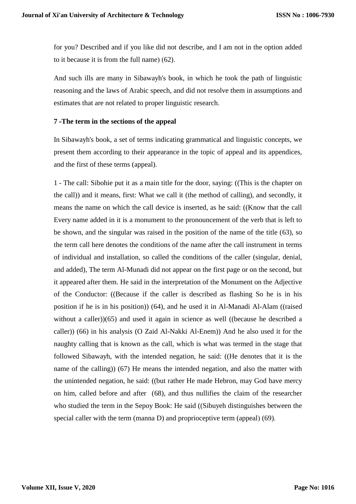for you? Described and if you like did not describe, and I am not in the option added to it because it is from the full name)  $(62)$ .

And such ills are many in Sibawayh's book, in which he took the path of linguistic reasoning and the laws of Arabic speech, and did not resolve them in assumptions and estimates that are not related to proper linguistic research.

#### **7 -The term in the sections of the appeal**

In Sibawayh's book, a set of terms indicating grammatical and linguistic concepts, we present them according to their appearance in the topic of appeal and its appendices, and the first of these terms (appeal).

1 - The call: Sibohie put it as a main title for the door, saying: ((This is the chapter on the call)) and it means, first: What we call it (the method of calling), and secondly, it means the name on which the call device is inserted, as he said: ((Know that the call Every name added in it is a monument to the pronouncement of the verb that is left to be shown, and the singular was raised in the position of the name of the title (63), so the term call here denotes the conditions of the name after the call instrument in terms of individual and installation, so called the conditions of the caller (singular, denial, and added), The term Al-Munadi did not appear on the first page or on the second, but it appeared after them. He said in the interpretation of the Monument on the Adjective of the Conductor: ((Because if the caller is described as flashing So he is in his position if he is in his position)) (64), and he used it in Al-Manadi Al-Alam ((raised without a caller))(65) and used it again in science as well ((because he described a caller)) (66) in his analysis (O Zaid Al-Nakki Al-Enem)) And he also used it for the naughty calling that is known as the call, which is what was termed in the stage that followed Sibawayh, with the intended negation, he said: ((He denotes that it is the name of the calling)) (67) He means the intended negation, and also the matter with the unintended negation, he said: ((but rather He made Hebron, may God have mercy on him, called before and after (68), and thus nullifies the claim of the researcher who studied the term in the Sepoy Book: He said ((Sibuyeh distinguishes between the special caller with the term (manna  $D$ ) and proprioceptive term (appeal) (69).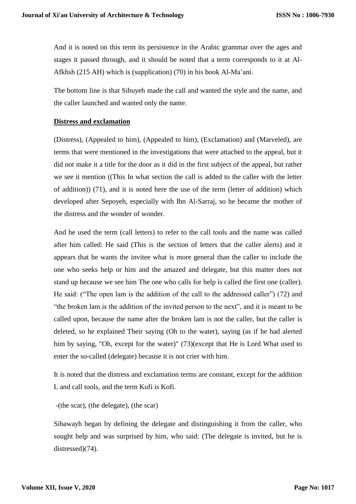And it is noted on this term its persistence in the Arabic grammar over the ages and stages it passed through, and it should be noted that a term corresponds to it at Al-Afkhsh (215 AH) which is (supplication) (70) in his book Al-Ma'ani.

The bottom line is that Sibuyeh made the call and wanted the style and the name, and the caller launched and wanted only the name.

#### **Distress and exclamation**

(Distress), (Appealed to him), (Appealed to him), (Exclamation) and (Marveled), are terms that were mentioned in the investigations that were attached to the appeal, but it did not make it a title for the door as it did in the first subject of the appeal, but rather we see it mention ((This In what section the call is added to the caller with the letter of addition)) (71), and it is noted here the use of the term (letter of addition) which developed after Sepoyeh, especially with Ibn Al-Sarraj, so he became the mother of the distress and the wonder of wonder.

And he used the term (call letters) to refer to the call tools and the name was called after him called: He said (This is the section of letters that the caller alerts) and it appears that he wants the invitee what is more general than the caller to include the one who seeks help or him and the amazed and delegate, but this matter does not stand up because we see him The one who calls for help is called the first one (caller). He said: ("The open lam is the addition of the call to the addressed caller") (72) and "the broken lam is the addition of the invited person to the next", and it is meant to be called upon, because the name after the broken lam is not the caller, but the caller is deleted, so he explained Their saying (Oh to the water), saying (as if he had alerted him by saying, "Oh, except for the water)" (73)(except that He is Lord What used to enter the so-called (delegate) because it is not crier with him.

It is noted that the distress and exclamation terms are constant, except for the addition L and call tools, and the term Kufi is Kofi.

-(the scar), (the delegate), (the scar)

Sibawayh began by defining the delegate and distinguishing it from the caller, who sought help and was surprised by him, who said: (The delegate is invited, but he is distressed $(74)$ .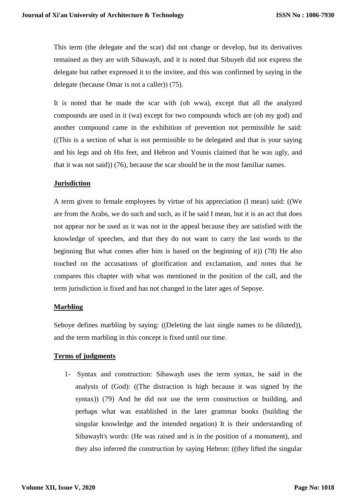This term (the delegate and the scar) did not change or develop, but its derivatives remained as they are with Sibawayh, and it is noted that Sibuyeh did not express the delegate but rather expressed it to the invitee, and this was confirmed by saying in the delegate (because Omar is not a caller) $(75)$ .

It is noted that he made the scar with (oh wwa), except that all the analyzed compounds are used in it (wa) except for two compounds which are (oh my god) and another compound came in the exhibition of prevention not permissible he said: ((This is a section of what is not permissible to be delegated and that is your saying and his legs and oh His feet, and Hebron and Younis claimed that he was ugly, and that it was not said)) (76), because the scar should be in the most familiar names.

### **Jurisdiction**

A term given to female employees by virtue of his appreciation (I mean) said: ((We are from the Arabs, we do such and such, as if he said I mean, but it is an act that does not appear nor be used as it was not in the appeal because they are satisfied with the knowledge of speeches, and that they do not want to carry the last words to the beginning But what comes after him is based on the beginning of it)) (78) He also touched on the accusations of glorification and exclamation, and notes that he compares this chapter with what was mentioned in the position of the call, and the term jurisdiction is fixed and has not changed in the later ages of Sepoye.

### **Marbling**

Seboye defines marbling by saying: ((Deleting the last single names to be diluted)), and the term marbling in this concept is fixed until our time.

### **Terms of judgments**

1- Syntax and construction: Sibawayh uses the term syntax, he said in the analysis of (God): ((The distraction is high because it was signed by the syntax)) (79) And he did not use the term construction or building, and perhaps what was established in the later grammar books (building the singular knowledge and the intended negation) It is their understanding of Sibawayh's words: (He was raised and is in the position of a monument), and they also inferred the construction by saying Hebron: ((they lifted the singular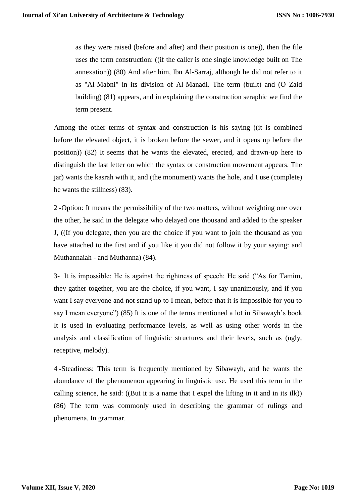as they were raised (before and after) and their position is one)), then the file uses the term construction: ((if the caller is one single knowledge built on The annexation)) (80) And after him, Ibn Al-Sarraj, although he did not refer to it as "Al-Mabni" in its division of Al-Manadi. The term (built) and (O Zaid building) (81) appears, and in explaining the construction seraphic we find the term present.

Among the other terms of syntax and construction is his saying ((it is combined before the elevated object, it is broken before the sewer, and it opens up before the position)) (82) It seems that he wants the elevated, erected, and drawn-up here to distinguish the last letter on which the syntax or construction movement appears. The jar) wants the kasrah with it, and (the monument) wants the hole, and I use (complete) he wants the stillness $(83)$ .

2 -Option: It means the permissibility of the two matters, without weighting one over the other, he said in the delegate who delayed one thousand and added to the speaker J, ((If you delegate, then you are the choice if you want to join the thousand as you have attached to the first and if you like it you did not follow it by your saying: and Muthannaiah - and Muthanna) (84).

3- It is impossible: He is against the rightness of speech: He said ("As for Tamim, they gather together, you are the choice, if you want, I say unanimously, and if you want I say everyone and not stand up to I mean, before that it is impossible for you to say I mean everyone") (85) It is one of the terms mentioned a lot in Sibawayh's book It is used in evaluating performance levels, as well as using other words in the analysis and classification of linguistic structures and their levels, such as (ugly, receptive, melody).

4 -Steadiness: This term is frequently mentioned by Sibawayh, and he wants the abundance of the phenomenon appearing in linguistic use. He used this term in the calling science, he said: ((But it is a name that I expel the lifting in it and in its ilk)) (86) The term was commonly used in describing the grammar of rulings and phenomena. In grammar.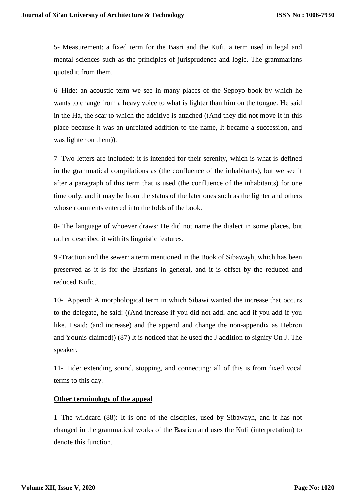5- Measurement: a fixed term for the Basri and the Kufi, a term used in legal and mental sciences such as the principles of jurisprudence and logic. The grammarians quoted it from them.

6 -Hide: an acoustic term we see in many places of the Sepoyo book by which he wants to change from a heavy voice to what is lighter than him on the tongue. He said in the Ha, the scar to which the additive is attached ((And they did not move it in this place because it was an unrelated addition to the name, It became a succession, and was lighter on them)).

7 -Two letters are included: it is intended for their serenity, which is what is defined in the grammatical compilations as (the confluence of the inhabitants), but we see it after a paragraph of this term that is used (the confluence of the inhabitants) for one time only, and it may be from the status of the later ones such as the lighter and others whose comments entered into the folds of the book.

8- The language of whoever draws: He did not name the dialect in some places, but rather described it with its linguistic features.

9 -Traction and the sewer: a term mentioned in the Book of Sibawayh, which has been preserved as it is for the Basrians in general, and it is offset by the reduced and reduced Kufic.

10- Append: A morphological term in which Sibawi wanted the increase that occurs to the delegate, he said: ((And increase if you did not add, and add if you add if you like. I said: (and increase) and the append and change the non-appendix as Hebron and Younis claimed)) (87) It is noticed that he used the J addition to signify On J. The speaker.

11- Tide: extending sound, stopping, and connecting: all of this is from fixed vocal terms to this day.

### **Other terminology of the appeal**

1- The wildcard (88): It is one of the disciples, used by Sibawayh, and it has not changed in the grammatical works of the Basrien and uses the Kufi (interpretation) to denote this function.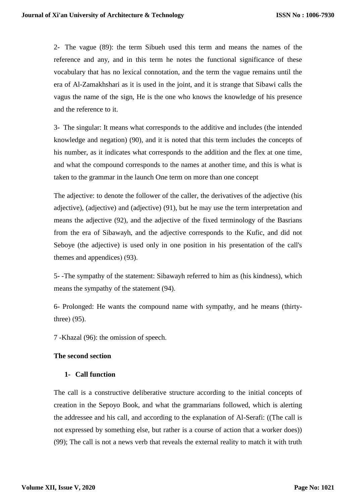2- The vague (89): the term Sibueh used this term and means the names of the reference and any, and in this term he notes the functional significance of these vocabulary that has no lexical connotation, and the term the vague remains until the era of Al-Zamakhshari as it is used in the joint, and it is strange that Sibawi calls the vagus the name of the sign, He is the one who knows the knowledge of his presence and the reference to it.

3- The singular: It means what corresponds to the additive and includes (the intended knowledge and negation) (90), and it is noted that this term includes the concepts of his number, as it indicates what corresponds to the addition and the flex at one time, and what the compound corresponds to the names at another time, and this is what is taken to the grammar in the launch One term on more than one concept

The adjective: to denote the follower of the caller, the derivatives of the adjective (his adjective), (adjective) and (adjective) (91), but he may use the term interpretation and means the adjective (92), and the adjective of the fixed terminology of the Basrians from the era of Sibawayh, and the adjective corresponds to the Kufic, and did not Seboye (the adjective) is used only in one position in his presentation of the call's themes and appendices $( 93)$ .

5- -The sympathy of the statement: Sibawayh referred to him as (his kindness), which means the sympathy of the statement (94).

6- Prolonged: He wants the compound name with sympathy, and he means (thirtythree $(95)$ .

7 -Khazal (96): the omission of speech.

### **The second section**

### **1- Call function**

The call is a constructive deliberative structure according to the initial concepts of creation in the Sepoyo Book, and what the grammarians followed, which is alerting the addressee and his call, and according to the explanation of Al-Serafi: ((The call is not expressed by something else, but rather is a course of action that a worker does)) (99); The call is not a news verb that reveals the external reality to match it with truth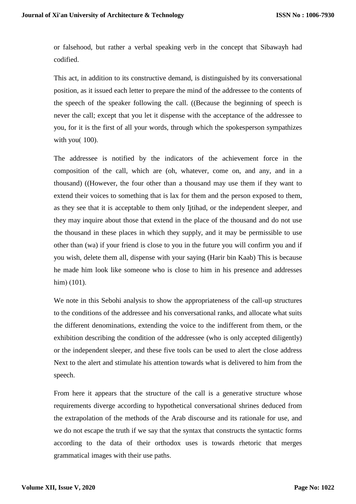or falsehood, but rather a verbal speaking verb in the concept that Sibawayh had codified.

This act, in addition to its constructive demand, is distinguished by its conversational position, as it issued each letter to prepare the mind of the addressee to the contents of the speech of the speaker following the call. ((Because the beginning of speech is never the call; except that you let it dispense with the acceptance of the addressee to you, for it is the first of all your words, through which the spokesperson sympathizes with you $(100)$ .

The addressee is notified by the indicators of the achievement force in the composition of the call, which are (oh, whatever, come on, and any, and in a thousand) ((However, the four other than a thousand may use them if they want to extend their voices to something that is lax for them and the person exposed to them, as they see that it is acceptable to them only Ijtihad, or the independent sleeper, and they may inquire about those that extend in the place of the thousand and do not use the thousand in these places in which they supply, and it may be permissible to use other than (wa) if your friend is close to you in the future you will confirm you and if you wish, delete them all, dispense with your saying (Harir bin Kaab) This is because he made him look like someone who is close to him in his presence and addresses him $( 101).$ 

We note in this Sebohi analysis to show the appropriateness of the call-up structures to the conditions of the addressee and his conversational ranks, and allocate what suits the different denominations, extending the voice to the indifferent from them, or the exhibition describing the condition of the addressee (who is only accepted diligently) or the independent sleeper, and these five tools can be used to alert the close address Next to the alert and stimulate his attention towards what is delivered to him from the speech.

From here it appears that the structure of the call is a generative structure whose requirements diverge according to hypothetical conversational shrines deduced from the extrapolation of the methods of the Arab discourse and its rationale for use, and we do not escape the truth if we say that the syntax that constructs the syntactic forms according to the data of their orthodox uses is towards rhetoric that merges grammatical images with their use paths.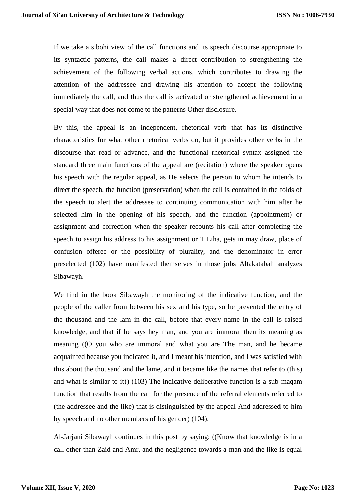If we take a sibohi view of the call functions and its speech discourse appropriate to its syntactic patterns, the call makes a direct contribution to strengthening the achievement of the following verbal actions, which contributes to drawing the attention of the addressee and drawing his attention to accept the following immediately the call, and thus the call is activated or strengthened achievement in a special way that does not come to the patterns Other disclosure.

By this, the appeal is an independent, rhetorical verb that has its distinctive characteristics for what other rhetorical verbs do, but it provides other verbs in the discourse that read or advance, and the functional rhetorical syntax assigned the standard three main functions of the appeal are (recitation) where the speaker opens his speech with the regular appeal, as He selects the person to whom he intends to direct the speech, the function (preservation) when the call is contained in the folds of the speech to alert the addressee to continuing communication with him after he selected him in the opening of his speech, and the function (appointment) or assignment and correction when the speaker recounts his call after completing the speech to assign his address to his assignment or T Liha, gets in may draw, place of confusion offeree or the possibility of plurality, and the denominator in error preselected (102) have manifested themselves in those jobs Altakatabah analyzes Sibawayh.

We find in the book Sibawayh the monitoring of the indicative function, and the people of the caller from between his sex and his type, so he prevented the entry of the thousand and the lam in the call, before that every name in the call is raised knowledge, and that if he says hey man, and you are immoral then its meaning as meaning ((O you who are immoral and what you are The man, and he became acquainted because you indicated it, and I meant his intention, and I was satisfied with this about the thousand and the lame, and it became like the names that refer to (this) and what is similar to it)) (103) The indicative deliberative function is a sub-maqam function that results from the call for the presence of the referral elements referred to (the addressee and the like) that is distinguished by the appeal And addressed to him by speech and no other members of his gender)  $(104)$ .

Al-Jarjani Sibawayh continues in this post by saying: ((Know that knowledge is in a call other than Zaid and Amr, and the negligence towards a man and the like is equal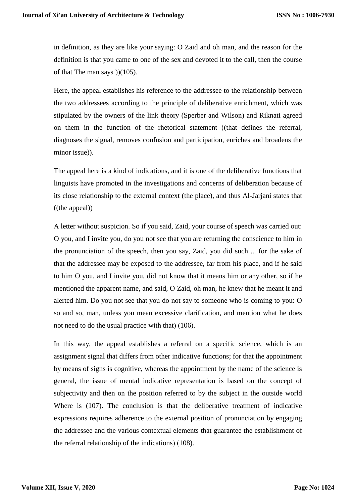in definition, as they are like your saying: O Zaid and oh man, and the reason for the definition is that you came to one of the sex and devoted it to the call, then the course of that The man says  $(105)$ .

Here, the appeal establishes his reference to the addressee to the relationship between the two addressees according to the principle of deliberative enrichment, which was stipulated by the owners of the link theory (Sperber and Wilson) and Riknati agreed on them in the function of the rhetorical statement ((that defines the referral, diagnoses the signal, removes confusion and participation, enriches and broadens the minor issue)).

The appeal here is a kind of indications, and it is one of the deliberative functions that linguists have promoted in the investigations and concerns of deliberation because of its close relationship to the external context (the place), and thus Al-Jarjani states that ((the appeal))

A letter without suspicion. So if you said, Zaid, your course of speech was carried out: O you, and I invite you, do you not see that you are returning the conscience to him in the pronunciation of the speech, then you say, Zaid, you did such ... for the sake of that the addressee may be exposed to the addressee, far from his place, and if he said to him O you, and I invite you, did not know that it means him or any other, so if he mentioned the apparent name, and said, O Zaid, oh man, he knew that he meant it and alerted him. Do you not see that you do not say to someone who is coming to you: O so and so, man, unless you mean excessive clarification, and mention what he does not need to do the usual practice with that)  $(106)$ .

In this way, the appeal establishes a referral on a specific science, which is an assignment signal that differs from other indicative functions; for that the appointment by means of signs is cognitive, whereas the appointment by the name of the science is general, the issue of mental indicative representation is based on the concept of subjectivity and then on the position referred to by the subject in the outside world Where is (107). The conclusion is that the deliberative treatment of indicative expressions requires adherence to the external position of pronunciation by engaging the addressee and the various contextual elements that guarantee the establishment of the referral relationship of the indications)  $(108)$ .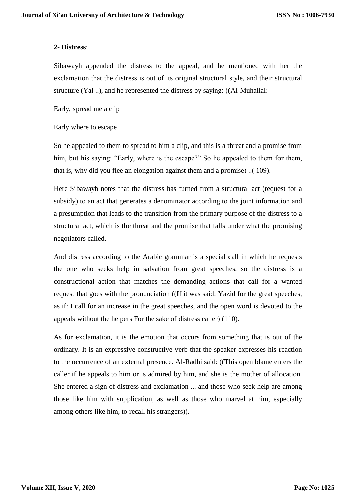### **2- Distress**:

Sibawayh appended the distress to the appeal, and he mentioned with her the exclamation that the distress is out of its original structural style, and their structural structure (Yal ..), and he represented the distress by saying: ((Al-Muhallal:

Early, spread me a clip

#### Early where to escape

So he appealed to them to spread to him a clip, and this is a threat and a promise from him, but his saying: "Early, where is the escape?" So he appealed to them for them, that is, why did you flee an elongation against them and a promise).. $( 109)$ .

Here Sibawayh notes that the distress has turned from a structural act (request for a subsidy) to an act that generates a denominator according to the joint information and a presumption that leads to the transition from the primary purpose of the distress to a structural act, which is the threat and the promise that falls under what the promising negotiators called.

And distress according to the Arabic grammar is a special call in which he requests the one who seeks help in salvation from great speeches, so the distress is a constructional action that matches the demanding actions that call for a wanted request that goes with the pronunciation ((If it was said: Yazid for the great speeches, as if: I call for an increase in the great speeches, and the open word is devoted to the appeals without the helpers For the sake of distress caller)  $(110)$ .

As for exclamation, it is the emotion that occurs from something that is out of the ordinary. It is an expressive constructive verb that the speaker expresses his reaction to the occurrence of an external presence. Al-Radhi said: ((This open blame enters the caller if he appeals to him or is admired by him, and she is the mother of allocation. She entered a sign of distress and exclamation ... and those who seek help are among those like him with supplication, as well as those who marvel at him, especially among others like him, to recall his strangers)).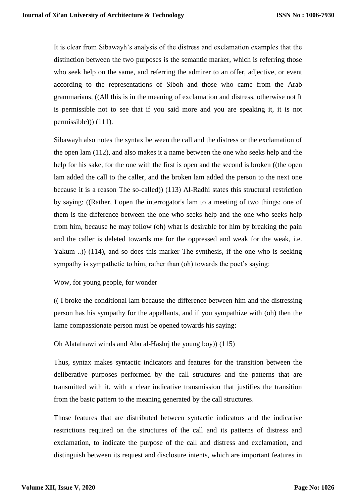It is clear from Sibawayh's analysis of the distress and exclamation examples that the distinction between the two purposes is the semantic marker, which is referring those who seek help on the same, and referring the admirer to an offer, adjective, or event according to the representations of Siboh and those who came from the Arab grammarians, ((All this is in the meaning of exclamation and distress, otherwise not It is permissible not to see that if you said more and you are speaking it, it is not permissible $))$  (111).

Sibawayh also notes the syntax between the call and the distress or the exclamation of the open lam (112), and also makes it a name between the one who seeks help and the help for his sake, for the one with the first is open and the second is broken ((the open lam added the call to the caller, and the broken lam added the person to the next one because it is a reason The so-called)) (113) Al-Radhi states this structural restriction by saying: ((Rather, I open the interrogator's lam to a meeting of two things: one of them is the difference between the one who seeks help and the one who seeks help from him, because he may follow (oh) what is desirable for him by breaking the pain and the caller is deleted towards me for the oppressed and weak for the weak, i.e. Yakum ...) (114), and so does this marker The synthesis, if the one who is seeking sympathy is sympathetic to him, rather than (oh) towards the poet's saying:

### Wow, for young people, for wonder

(( I broke the conditional lam because the difference between him and the distressing person has his sympathy for the appellants, and if you sympathize with (oh) then the lame compassionate person must be opened towards his saying:

### Oh Alatafnawi winds and Abu al-Hashri the young boy $(115)$

Thus, syntax makes syntactic indicators and features for the transition between the deliberative purposes performed by the call structures and the patterns that are transmitted with it, with a clear indicative transmission that justifies the transition from the basic pattern to the meaning generated by the call structures.

Those features that are distributed between syntactic indicators and the indicative restrictions required on the structures of the call and its patterns of distress and exclamation, to indicate the purpose of the call and distress and exclamation, and distinguish between its request and disclosure intents, which are important features in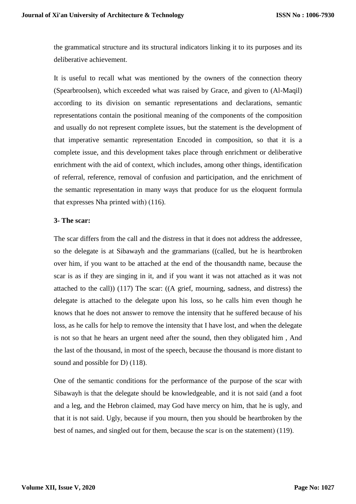the grammatical structure and its structural indicators linking it to its purposes and its deliberative achievement.

It is useful to recall what was mentioned by the owners of the connection theory (Spearbroolsen), which exceeded what was raised by Grace, and given to (Al-Maqil) according to its division on semantic representations and declarations, semantic representations contain the positional meaning of the components of the composition and usually do not represent complete issues, but the statement is the development of that imperative semantic representation Encoded in composition, so that it is a complete issue, and this development takes place through enrichment or deliberative enrichment with the aid of context, which includes, among other things, identification of referral, reference, removal of confusion and participation, and the enrichment of the semantic representation in many ways that produce for us the eloquent formula that expresses Nha printed with $(116)$ .

#### **3- The scar:**

The scar differs from the call and the distress in that it does not address the addressee, so the delegate is at Sibawayh and the grammarians ((called, but he is heartbroken over him, if you want to be attached at the end of the thousandth name, because the scar is as if they are singing in it, and if you want it was not attached as it was not attached to the call)) (117) The scar: ((A grief, mourning, sadness, and distress) the delegate is attached to the delegate upon his loss, so he calls him even though he knows that he does not answer to remove the intensity that he suffered because of his loss, as he calls for help to remove the intensity that I have lost, and when the delegate is not so that he hears an urgent need after the sound, then they obligated him , And the last of the thousand, in most of the speech, because the thousand is more distant to sound and possible for  $D(118)$ .

One of the semantic conditions for the performance of the purpose of the scar with Sibawayh is that the delegate should be knowledgeable, and it is not said (and a foot and a leg, and the Hebron claimed, may God have mercy on him, that he is ugly, and that it is not said. Ugly, because if you mourn, then you should be heartbroken by the best of names, and singled out for them, because the scar is on the statement) (119).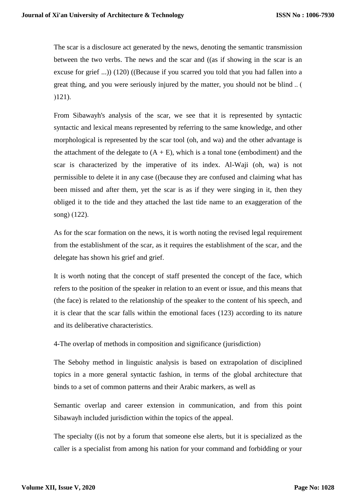The scar is a disclosure act generated by the news, denoting the semantic transmission between the two verbs. The news and the scar and ((as if showing in the scar is an excuse for grief ...)) (120) ((Because if you scarred you told that you had fallen into a great thing, and you were seriously injured by the matter, you should not be blind...  $(121).$ 

From Sibawayh's analysis of the scar, we see that it is represented by syntactic syntactic and lexical means represented by referring to the same knowledge, and other morphological is represented by the scar tool (oh, and wa) and the other advantage is the attachment of the delegate to  $(A + E)$ , which is a tonal tone (embodiment) and the scar is characterized by the imperative of its index. Al-Waji (oh, wa) is not permissible to delete it in any case ((because they are confused and claiming what has been missed and after them, yet the scar is as if they were singing in it, then they obliged it to the tide and they attached the last tide name to an exaggeration of the song $( 122).$ 

As for the scar formation on the news, it is worth noting the revised legal requirement from the establishment of the scar, as it requires the establishment of the scar, and the delegate has shown his grief and grief.

It is worth noting that the concept of staff presented the concept of the face, which refers to the position of the speaker in relation to an event or issue, and this means that (the face) is related to the relationship of the speaker to the content of his speech, and it is clear that the scar falls within the emotional faces (123) according to its nature and its deliberative characteristics.

4-The overlap of methods in composition and significance (jurisdiction)

The Sebohy method in linguistic analysis is based on extrapolation of disciplined topics in a more general syntactic fashion, in terms of the global architecture that binds to a set of common patterns and their Arabic markers, as well as

Semantic overlap and career extension in communication, and from this point Sibawayh included jurisdiction within the topics of the appeal.

The specialty ((is not by a forum that someone else alerts, but it is specialized as the caller is a specialist from among his nation for your command and forbidding or your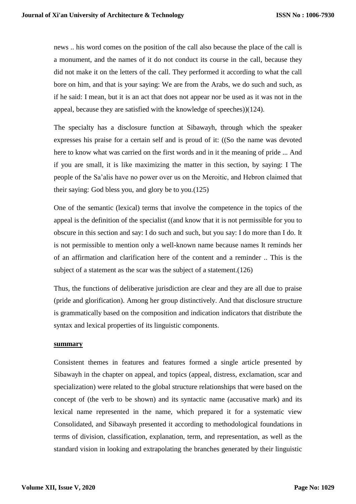news .. his word comes on the position of the call also because the place of the call is a monument, and the names of it do not conduct its course in the call, because they did not make it on the letters of the call. They performed it according to what the call bore on him, and that is your saying: We are from the Arabs, we do such and such, as if he said: I mean, but it is an act that does not appear nor be used as it was not in the appeal, because they are satisfied with the knowledge of speeches) $(124)$ .

The specialty has a disclosure function at Sibawayh, through which the speaker expresses his praise for a certain self and is proud of it: ((So the name was devoted here to know what was carried on the first words and in it the meaning of pride ... And if you are small, it is like maximizing the matter in this section, by saying: I The people of the Sa'alis have no power over us on the Meroitic, and Hebron claimed that their saying: God bless you, and glory be to you.(125)

One of the semantic (lexical) terms that involve the competence in the topics of the appeal is the definition of the specialist ((and know that it is not permissible for you to obscure in this section and say: I do such and such, but you say: I do more than I do. It is not permissible to mention only a well-known name because names It reminds her of an affirmation and clarification here of the content and a reminder .. This is the subject of a statement as the scar was the subject of a statement.(126)

Thus, the functions of deliberative jurisdiction are clear and they are all due to praise (pride and glorification). Among her group distinctively. And that disclosure structure is grammatically based on the composition and indication indicators that distribute the syntax and lexical properties of its linguistic components.

#### **summary**

Consistent themes in features and features formed a single article presented by Sibawayh in the chapter on appeal, and topics (appeal, distress, exclamation, scar and specialization) were related to the global structure relationships that were based on the concept of (the verb to be shown) and its syntactic name (accusative mark) and its lexical name represented in the name, which prepared it for a systematic view Consolidated, and Sibawayh presented it according to methodological foundations in terms of division, classification, explanation, term, and representation, as well as the standard vision in looking and extrapolating the branches generated by their linguistic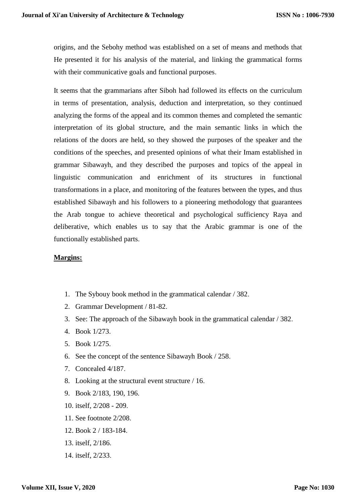origins, and the Sebohy method was established on a set of means and methods that He presented it for his analysis of the material, and linking the grammatical forms with their communicative goals and functional purposes.

It seems that the grammarians after Siboh had followed its effects on the curriculum in terms of presentation, analysis, deduction and interpretation, so they continued analyzing the forms of the appeal and its common themes and completed the semantic interpretation of its global structure, and the main semantic links in which the relations of the doors are held, so they showed the purposes of the speaker and the conditions of the speeches, and presented opinions of what their Imam established in grammar Sibawayh, and they described the purposes and topics of the appeal in linguistic communication and enrichment of its structures in functional transformations in a place, and monitoring of the features between the types, and thus established Sibawayh and his followers to a pioneering methodology that guarantees the Arab tongue to achieve theoretical and psychological sufficiency Raya and deliberative, which enables us to say that the Arabic grammar is one of the functionally established parts.

### **Margins:**

- 1. The Sybouy book method in the grammatical calendar / 382.
- 2. Grammar Development / 81-82.
- 3. See: The approach of the Sibawayh book in the grammatical calendar / 382.
- 4. Book 1/273.
- 5. Book 1/275.
- 6. See the concept of the sentence Sibawayh Book / 258.
- 7. Concealed 4/187.
- 8. Looking at the structural event structure / 16.
- 9. Book 2/183, 190, 196.
- 10. itself, 2/208 209.
- 11. See footnote 2/208.
- 12. Book 2 / 183-184.
- 13. itself, 2/186.
- 14. itself, 2/233.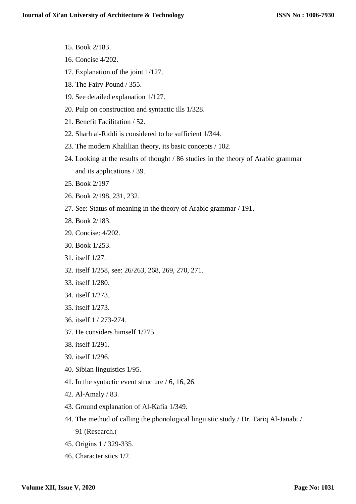- 15. Book 2/183.
- 16. Concise 4/202.
- 17. Explanation of the joint 1/127.
- 18. The Fairy Pound / 355.
- 19. See detailed explanation 1/127.
- 20. Pulp on construction and syntactic ills 1/328.
- 21. Benefit Facilitation / 52.
- 22. Sharh al-Riddi is considered to be sufficient 1/344.
- 23. The modern Khalilian theory, its basic concepts / 102.
- 24. Looking at the results of thought / 86 studies in the theory of Arabic grammar and its applications / 39.
- 25. Book 2/197
- 26. Book 2/198, 231, 232.
- 27. See: Status of meaning in the theory of Arabic grammar / 191.
- 28. Book 2/183.
- 29. Concise: 4/202.
- 30. Book 1/253.
- 31. itself 1/27.
- 32. itself 1/258, see: 26/263, 268, 269, 270, 271.
- 33. itself 1/280.
- 34. itself 1/273.
- 35. itself 1/273.
- 36. itself 1 / 273-274.
- 37. He considers himself 1/275.
- 38. itself 1/291.
- 39. itself 1/296.
- 40. Sibian linguistics 1/95.
- 41. In the syntactic event structure / 6, 16, 26.
- 42. Al-Amaly / 83.
- 43. Ground explanation of Al-Kafia 1/349.
- 44. The method of calling the phonological linguistic study / Dr. Tariq Al-Janabi / 91 (Research.)
- 45. Origins 1 / 329-335.
- 46. Characteristics 1/2.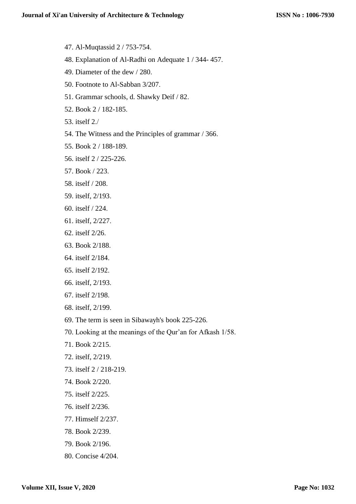- 47. Al-Muqtassid 2 / 753-754.
- 48. Explanation of Al-Radhi on Adequate 1 / 344- 457.
- 49. Diameter of the dew / 280.
- 50. Footnote to Al-Sabban 3/207.
- 51. Grammar schools, d. Shawky Deif / 82.
- 52. Book 2 / 182-185.
- 53. itself 2./
- 54. The Witness and the Principles of grammar / 366.
- 55. Book 2 / 188-189.
- 56. itself 2 / 225-226.
- 57. Book / 223.
- 58. itself / 208.
- 59. itself, 2/193.
- 60. itself / 224.
- 61. itself, 2/227.
- 62. itself 2/26.
- 63. Book 2/188.
- 64. itself 2/184.
- 65. itself 2/192.
- 66. itself, 2/193.
- 67. itself 2/198.
- 68. itself, 2/199.
- 69. The term is seen in Sibawayh's book 225-226.
- 70. Looking at the meanings of the Qur'an for Afkash 1/58.
- 71. Book 2/215.
- 72. itself, 2/219.
- 73. itself 2 / 218-219.
- 74. Book 2/220.
- 75. itself 2/225.
- 76. itself 2/236.
- 77. Himself 2/237.
- 78. Book 2/239.
- 79. Book 2/196.
- 80. Concise 4/204.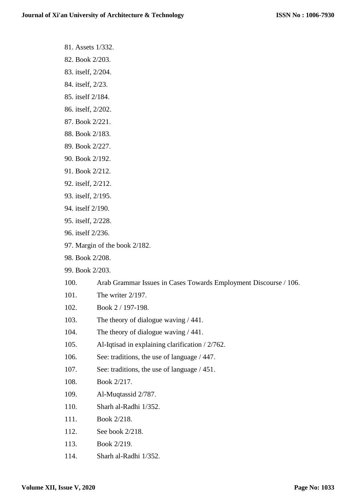- 81. Assets 1/332.
- 82. Book 2/203.
- 83. itself, 2/204.
- 84. itself, 2/23.
- 85. itself 2/184.
- 86. itself, 2/202.
- 87. Book 2/221.
- 88. Book 2/183.
- 89. Book 2/227.
- 90. Book 2/192.
- 91. Book 2/212.
- 92. itself, 2/212.
- 93. itself, 2/195.
- 94. itself 2/190.
- 95. itself, 2/228.
- 96. itself 2/236.
- 97. Margin of the book 2/182.
- 98. Book 2/208.
- 99. Book 2/203.
- 100. Arab Grammar Issues in Cases Towards Employment Discourse / 106.
- 101. The writer 2/197.
- 102. Book 2 / 197-198.
- 103. The theory of dialogue waving / 441.
- 104. The theory of dialogue waving / 441.
- 105. Al-Iqtisad in explaining clarification / 2/762.
- 106. See: traditions, the use of language / 447.
- 107. See: traditions, the use of language / 451.
- 108. Book 2/217.
- 109. Al-Muqtassid 2/787.
- 110. Sharh al-Radhi 1/352.
- 111. Book 2/218.
- 112. See book 2/218.
- 113. Book 2/219.
- 114. Sharh al-Radhi 1/352.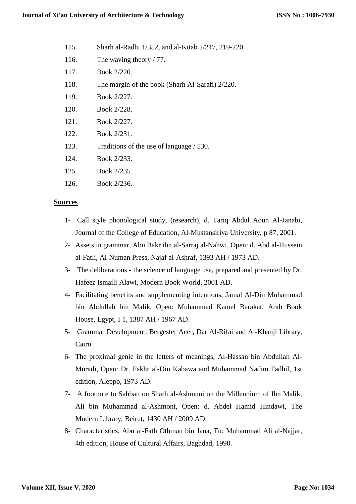- 115. Sharh al-Radhi 1/352, and al-Kitab 2/217, 219-220.
- 116. The waving theory / 77.
- 117. Book 2/220.
- 118. The margin of the book (Sharh Al-Sarafi) 2/220.
- 119. Book 2/227.
- 120. Book 2/228.
- 121. Book 2/227.
- 122. Book 2/231.
- 123. Traditions of the use of language / 530.
- 124. Book 2/233.
- 125. Book 2/235.
- 126. Book 2/236.

#### **Sources**

- 1- Call style phonological study, (research), d. Tariq Abdul Aoun Al-Janabi, Journal of the College of Education, Al-Mustansiriya University, p 87, 2001.
- 2- Assets in grammar, Abu Bakr ibn al-Sarraj al-Nahwi, Open: d. Abd al-Hussein al-Fatli, Al-Numan Press, Najaf al-Ashraf, 1393 AH / 1973 AD.
- 3- The deliberations the science of language use, prepared and presented by Dr. Hafeez Ismaili Alawi, Modern Book World, 2001 AD.
- 4- Facilitating benefits and supplementing intentions, Jamal Al-Din Muhammad bin Abdullah bin Malik, Open: Muhammad Kamel Barakat, Arab Book House, Egypt, I 1, 1387 AH / 1967 AD.
- 5- Grammar Development, Bergester Acer, Dar Al-Rifai and Al-Khanji Library, Cairo.
- 6- The proximal genie in the letters of meanings, Al-Hassan bin Abdullah Al-Muradi, Open: Dr. Fakhr al-Din Kabawa and Muhammad Nadim Fadhil, 1st edition, Aleppo, 1973 AD.
- 7- A footnote to Sabban on Sharh al-Ashmuni on the Millennium of Ibn Malik, Ali bin Muhammad al-Ashmoni, Open: d. Abdel Hamid Hindawi, The Modern Library, Beirut, 1430 AH / 2009 AD.
- 8- Characteristics, Abu al-Fath Othman bin Jana, Tu: Muhammad Ali al-Najjar, 4th edition, House of Cultural Affairs, Baghdad, 1990.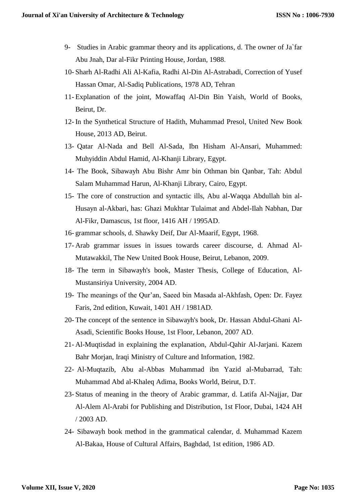- 9- Studies in Arabic grammar theory and its applications, d. The owner of Ja`far Abu Jnah, Dar al-Fikr Printing House, Jordan, 1988.
- 10- Sharh Al-Radhi Ali Al-Kafia, Radhi Al-Din Al-Astrabadi, Correction of Yusef Hassan Omar, Al-Sadiq Publications, 1978 AD, Tehran
- 11- Explanation of the joint, Mowaffaq Al-Din Bin Yaish, World of Books, Beirut, Dr.
- 12- In the Synthetical Structure of Hadith, Muhammad Presol, United New Book House, 2013 AD, Beirut.
- 13- Qatar Al-Nada and Bell Al-Sada, Ibn Hisham Al-Ansari, Muhammed: Muhyiddin Abdul Hamid, Al-Khanji Library, Egypt.
- 14- The Book, Sibawayh Abu Bishr Amr bin Othman bin Qanbar, Tah: Abdul Salam Muhammad Harun, Al-Khanji Library, Cairo, Egypt.
- 15- The core of construction and syntactic ills, Abu al-Waqqa Abdullah bin al-Husayn al-Akbari, has: Ghazi Mukhtar Tulaimat and Abdel-Ilah Nabhan, Dar Al-Fikr, Damascus, 1st floor, 1416 AH / 1995AD.
- 16- grammar schools, d. Shawky Deif, Dar Al-Maarif, Egypt, 1968.
- 17- Arab grammar issues in issues towards career discourse, d. Ahmad Al-Mutawakkil, The New United Book House, Beirut, Lebanon, 2009.
- 18- The term in Sibawayh's book, Master Thesis, College of Education, Al-Mustansiriya University, 2004 AD.
- 19- The meanings of the Qur'an, Saeed bin Masada al-Akhfash, Open: Dr. Fayez Faris, 2nd edition, Kuwait, 1401 AH / 1981AD.
- 20- The concept of the sentence in Sibawayh's book, Dr. Hassan Abdul-Ghani Al-Asadi, Scientific Books House, 1st Floor, Lebanon, 2007 AD.
- 21- Al-Muqtisdad in explaining the explanation, Abdul-Qahir Al-Jarjani. Kazem Bahr Morjan, Iraqi Ministry of Culture and Information, 1982.
- 22- Al-Muqtazib, Abu al-Abbas Muhammad ibn Yazid al-Mubarrad, Tah: Muhammad Abd al-Khaleq Adima, Books World, Beirut, D.T.
- 23- Status of meaning in the theory of Arabic grammar, d. Latifa Al-Najjar, Dar Al-Alem Al-Arabi for Publishing and Distribution, 1st Floor, Dubai, 1424 AH / 2003 AD.
- 24- Sibawayh book method in the grammatical calendar, d. Muhammad Kazem Al-Bakaa, House of Cultural Affairs, Baghdad, 1st edition, 1986 AD.